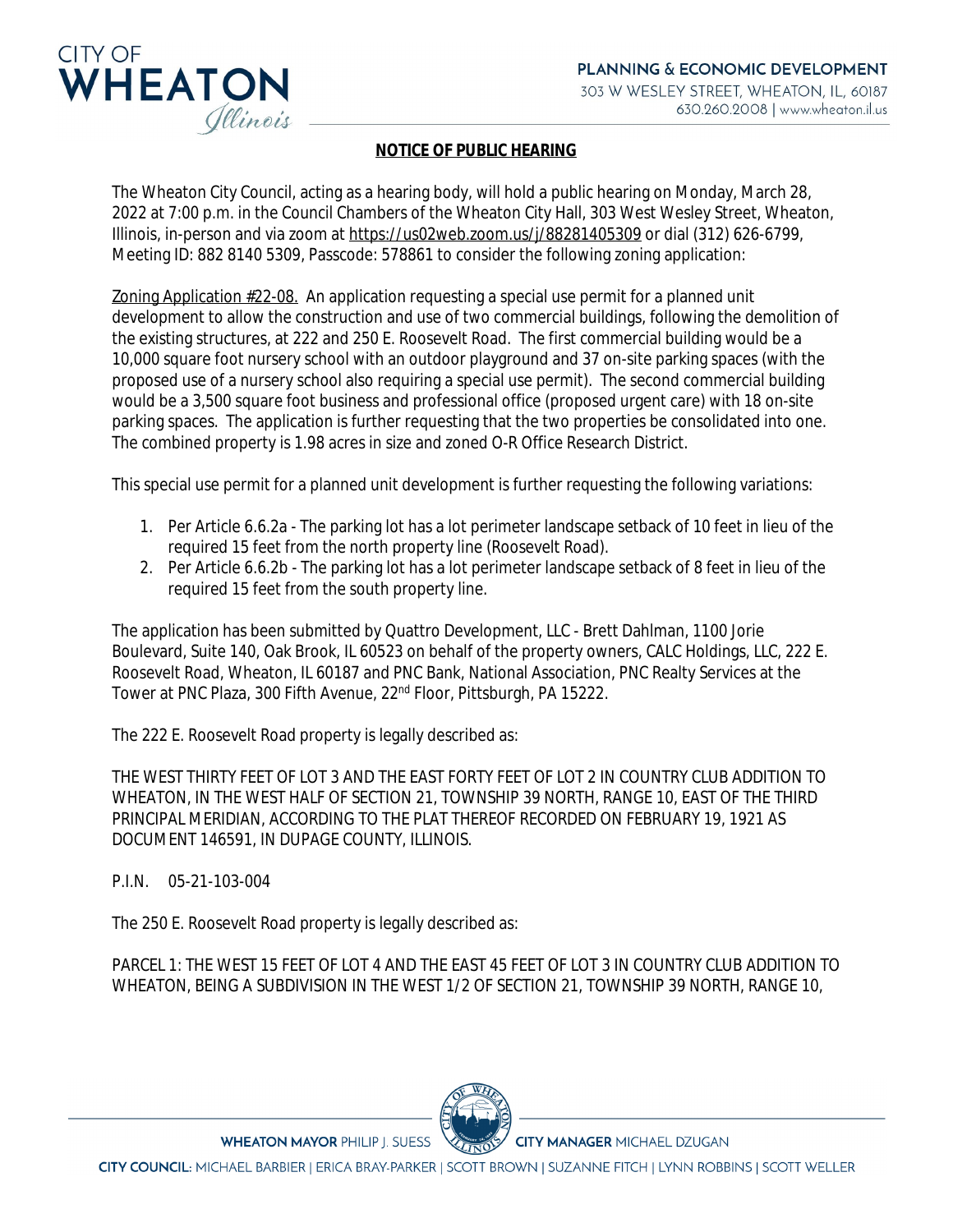

## **NOTICE OF PUBLIC HEARING**

The Wheaton City Council, acting as a hearing body, will hold a public hearing on Monday, March 28, 2022 at 7:00 p.m. in the Council Chambers of the Wheaton City Hall, 303 West Wesley Street, Wheaton, Illinois, in-person and via zoom at [https://us02web.zoom.us/j/88281405309](https://gcc02.safelinks.protection.outlook.com/?url=https%3A%2F%2Fus02web.zoom.us%2Fj%2F88281405309&data=04%7C01%7CTJones%40wheaton.il.us%7C7b8d5df1be6340ad18c608da01148e88%7C7409600a5a354350817a26ff18a4fd75%7C0%7C0%7C637823485037040053%7CUnknown%7CTWFpbGZsb3d8eyJWIjoiMC4wLjAwMDAiLCJQIjoiV2luMzIiLCJBTiI6Ik1haWwiLCJXVCI6Mn0%3D%7C3000&sdata=tkZnFJvaiIEmrSfyoTurMuONKygq3YL%2FiuAKKgFdr6Q%3D&reserved=0) [or dial \(312\) 626-6799,](https://gcc02.safelinks.protection.outlook.com/?url=https%3A%2F%2Fus02web.zoom.us%2Fj%2F88281405309&data=04%7C01%7CTJones%40wheaton.il.us%7C7b8d5df1be6340ad18c608da01148e88%7C7409600a5a354350817a26ff18a4fd75%7C0%7C0%7C637823485037040053%7CUnknown%7CTWFpbGZsb3d8eyJWIjoiMC4wLjAwMDAiLCJQIjoiV2luMzIiLCJBTiI6Ik1haWwiLCJXVCI6Mn0%3D%7C3000&sdata=tkZnFJvaiIEmrSfyoTurMuONKygq3YL%2FiuAKKgFdr6Q%3D&reserved=0)  [Meeting ID: 882 8140 5309, Passcode: 578861 to consider the following zoning application:](https://gcc02.safelinks.protection.outlook.com/?url=https%3A%2F%2Fus02web.zoom.us%2Fj%2F88281405309&data=04%7C01%7CTJones%40wheaton.il.us%7C7b8d5df1be6340ad18c608da01148e88%7C7409600a5a354350817a26ff18a4fd75%7C0%7C0%7C637823485037040053%7CUnknown%7CTWFpbGZsb3d8eyJWIjoiMC4wLjAwMDAiLCJQIjoiV2luMzIiLCJBTiI6Ik1haWwiLCJXVCI6Mn0%3D%7C3000&sdata=tkZnFJvaiIEmrSfyoTurMuONKygq3YL%2FiuAKKgFdr6Q%3D&reserved=0)

[Zoning Application #22-08. An application requesting a special use permit for a planned unit](https://gcc02.safelinks.protection.outlook.com/?url=https%3A%2F%2Fus02web.zoom.us%2Fj%2F88281405309&data=04%7C01%7CTJones%40wheaton.il.us%7C7b8d5df1be6340ad18c608da01148e88%7C7409600a5a354350817a26ff18a4fd75%7C0%7C0%7C637823485037040053%7CUnknown%7CTWFpbGZsb3d8eyJWIjoiMC4wLjAwMDAiLCJQIjoiV2luMzIiLCJBTiI6Ik1haWwiLCJXVCI6Mn0%3D%7C3000&sdata=tkZnFJvaiIEmrSfyoTurMuONKygq3YL%2FiuAKKgFdr6Q%3D&reserved=0)  [development to allow the construction and use of two commercial buildings, following the demolition of](https://gcc02.safelinks.protection.outlook.com/?url=https%3A%2F%2Fus02web.zoom.us%2Fj%2F88281405309&data=04%7C01%7CTJones%40wheaton.il.us%7C7b8d5df1be6340ad18c608da01148e88%7C7409600a5a354350817a26ff18a4fd75%7C0%7C0%7C637823485037040053%7CUnknown%7CTWFpbGZsb3d8eyJWIjoiMC4wLjAwMDAiLCJQIjoiV2luMzIiLCJBTiI6Ik1haWwiLCJXVCI6Mn0%3D%7C3000&sdata=tkZnFJvaiIEmrSfyoTurMuONKygq3YL%2FiuAKKgFdr6Q%3D&reserved=0) [the existing structures, at 222 and 250 E. Roosevelt Road. The first commercial building would be a](https://gcc02.safelinks.protection.outlook.com/?url=https%3A%2F%2Fus02web.zoom.us%2Fj%2F88281405309&data=04%7C01%7CTJones%40wheaton.il.us%7C7b8d5df1be6340ad18c608da01148e88%7C7409600a5a354350817a26ff18a4fd75%7C0%7C0%7C637823485037040053%7CUnknown%7CTWFpbGZsb3d8eyJWIjoiMC4wLjAwMDAiLCJQIjoiV2luMzIiLCJBTiI6Ik1haWwiLCJXVCI6Mn0%3D%7C3000&sdata=tkZnFJvaiIEmrSfyoTurMuONKygq3YL%2FiuAKKgFdr6Q%3D&reserved=0)  [10,000 square foot nursery school with an outdoor playground and 37 on-site parking spaces \(with the](https://gcc02.safelinks.protection.outlook.com/?url=https%3A%2F%2Fus02web.zoom.us%2Fj%2F88281405309&data=04%7C01%7CTJones%40wheaton.il.us%7C7b8d5df1be6340ad18c608da01148e88%7C7409600a5a354350817a26ff18a4fd75%7C0%7C0%7C637823485037040053%7CUnknown%7CTWFpbGZsb3d8eyJWIjoiMC4wLjAwMDAiLCJQIjoiV2luMzIiLCJBTiI6Ik1haWwiLCJXVCI6Mn0%3D%7C3000&sdata=tkZnFJvaiIEmrSfyoTurMuONKygq3YL%2FiuAKKgFdr6Q%3D&reserved=0)  [proposed use of a nursery school also requiring a special use permit\). The second commercial building](https://gcc02.safelinks.protection.outlook.com/?url=https%3A%2F%2Fus02web.zoom.us%2Fj%2F88281405309&data=04%7C01%7CTJones%40wheaton.il.us%7C7b8d5df1be6340ad18c608da01148e88%7C7409600a5a354350817a26ff18a4fd75%7C0%7C0%7C637823485037040053%7CUnknown%7CTWFpbGZsb3d8eyJWIjoiMC4wLjAwMDAiLCJQIjoiV2luMzIiLCJBTiI6Ik1haWwiLCJXVCI6Mn0%3D%7C3000&sdata=tkZnFJvaiIEmrSfyoTurMuONKygq3YL%2FiuAKKgFdr6Q%3D&reserved=0)  [would be a 3,500 square foot business and professional office \(proposed urgent care\) with 18 on-site](https://gcc02.safelinks.protection.outlook.com/?url=https%3A%2F%2Fus02web.zoom.us%2Fj%2F88281405309&data=04%7C01%7CTJones%40wheaton.il.us%7C7b8d5df1be6340ad18c608da01148e88%7C7409600a5a354350817a26ff18a4fd75%7C0%7C0%7C637823485037040053%7CUnknown%7CTWFpbGZsb3d8eyJWIjoiMC4wLjAwMDAiLCJQIjoiV2luMzIiLCJBTiI6Ik1haWwiLCJXVCI6Mn0%3D%7C3000&sdata=tkZnFJvaiIEmrSfyoTurMuONKygq3YL%2FiuAKKgFdr6Q%3D&reserved=0)  [parking spaces. The application is further requesting that the two properties be consolidated into one.](https://gcc02.safelinks.protection.outlook.com/?url=https%3A%2F%2Fus02web.zoom.us%2Fj%2F88281405309&data=04%7C01%7CTJones%40wheaton.il.us%7C7b8d5df1be6340ad18c608da01148e88%7C7409600a5a354350817a26ff18a4fd75%7C0%7C0%7C637823485037040053%7CUnknown%7CTWFpbGZsb3d8eyJWIjoiMC4wLjAwMDAiLCJQIjoiV2luMzIiLCJBTiI6Ik1haWwiLCJXVCI6Mn0%3D%7C3000&sdata=tkZnFJvaiIEmrSfyoTurMuONKygq3YL%2FiuAKKgFdr6Q%3D&reserved=0)  [The combined property is 1.98 acres in size and zoned O-R Office Research District.](https://gcc02.safelinks.protection.outlook.com/?url=https%3A%2F%2Fus02web.zoom.us%2Fj%2F88281405309&data=04%7C01%7CTJones%40wheaton.il.us%7C7b8d5df1be6340ad18c608da01148e88%7C7409600a5a354350817a26ff18a4fd75%7C0%7C0%7C637823485037040053%7CUnknown%7CTWFpbGZsb3d8eyJWIjoiMC4wLjAwMDAiLCJQIjoiV2luMzIiLCJBTiI6Ik1haWwiLCJXVCI6Mn0%3D%7C3000&sdata=tkZnFJvaiIEmrSfyoTurMuONKygq3YL%2FiuAKKgFdr6Q%3D&reserved=0)

[This special use permit for a planned unit development is further requesting the following variations:](https://gcc02.safelinks.protection.outlook.com/?url=https%3A%2F%2Fus02web.zoom.us%2Fj%2F88281405309&data=04%7C01%7CTJones%40wheaton.il.us%7C7b8d5df1be6340ad18c608da01148e88%7C7409600a5a354350817a26ff18a4fd75%7C0%7C0%7C637823485037040053%7CUnknown%7CTWFpbGZsb3d8eyJWIjoiMC4wLjAwMDAiLCJQIjoiV2luMzIiLCJBTiI6Ik1haWwiLCJXVCI6Mn0%3D%7C3000&sdata=tkZnFJvaiIEmrSfyoTurMuONKygq3YL%2FiuAKKgFdr6Q%3D&reserved=0)

- 1. [Per Article 6.6.2a The parking lot has a lot perimeter landscape setback of 10 feet in lieu of the](https://gcc02.safelinks.protection.outlook.com/?url=https%3A%2F%2Fus02web.zoom.us%2Fj%2F88281405309&data=04%7C01%7CTJones%40wheaton.il.us%7C7b8d5df1be6340ad18c608da01148e88%7C7409600a5a354350817a26ff18a4fd75%7C0%7C0%7C637823485037040053%7CUnknown%7CTWFpbGZsb3d8eyJWIjoiMC4wLjAwMDAiLCJQIjoiV2luMzIiLCJBTiI6Ik1haWwiLCJXVCI6Mn0%3D%7C3000&sdata=tkZnFJvaiIEmrSfyoTurMuONKygq3YL%2FiuAKKgFdr6Q%3D&reserved=0)  [required 15 feet from the north property line \(Roosevelt Road\).](https://gcc02.safelinks.protection.outlook.com/?url=https%3A%2F%2Fus02web.zoom.us%2Fj%2F88281405309&data=04%7C01%7CTJones%40wheaton.il.us%7C7b8d5df1be6340ad18c608da01148e88%7C7409600a5a354350817a26ff18a4fd75%7C0%7C0%7C637823485037040053%7CUnknown%7CTWFpbGZsb3d8eyJWIjoiMC4wLjAwMDAiLCJQIjoiV2luMzIiLCJBTiI6Ik1haWwiLCJXVCI6Mn0%3D%7C3000&sdata=tkZnFJvaiIEmrSfyoTurMuONKygq3YL%2FiuAKKgFdr6Q%3D&reserved=0)
- 2. [Per Article 6.6.2b The parking lot has a lot perimeter landscape setback of 8 feet in lieu of the](https://gcc02.safelinks.protection.outlook.com/?url=https%3A%2F%2Fus02web.zoom.us%2Fj%2F88281405309&data=04%7C01%7CTJones%40wheaton.il.us%7C7b8d5df1be6340ad18c608da01148e88%7C7409600a5a354350817a26ff18a4fd75%7C0%7C0%7C637823485037040053%7CUnknown%7CTWFpbGZsb3d8eyJWIjoiMC4wLjAwMDAiLCJQIjoiV2luMzIiLCJBTiI6Ik1haWwiLCJXVCI6Mn0%3D%7C3000&sdata=tkZnFJvaiIEmrSfyoTurMuONKygq3YL%2FiuAKKgFdr6Q%3D&reserved=0)  [required 15 feet from the south property line.](https://gcc02.safelinks.protection.outlook.com/?url=https%3A%2F%2Fus02web.zoom.us%2Fj%2F88281405309&data=04%7C01%7CTJones%40wheaton.il.us%7C7b8d5df1be6340ad18c608da01148e88%7C7409600a5a354350817a26ff18a4fd75%7C0%7C0%7C637823485037040053%7CUnknown%7CTWFpbGZsb3d8eyJWIjoiMC4wLjAwMDAiLCJQIjoiV2luMzIiLCJBTiI6Ik1haWwiLCJXVCI6Mn0%3D%7C3000&sdata=tkZnFJvaiIEmrSfyoTurMuONKygq3YL%2FiuAKKgFdr6Q%3D&reserved=0)

[The application has been submitted by Quattro Development, LLC - Brett Dahlman, 1100 Jorie](https://gcc02.safelinks.protection.outlook.com/?url=https%3A%2F%2Fus02web.zoom.us%2Fj%2F88281405309&data=04%7C01%7CTJones%40wheaton.il.us%7C7b8d5df1be6340ad18c608da01148e88%7C7409600a5a354350817a26ff18a4fd75%7C0%7C0%7C637823485037040053%7CUnknown%7CTWFpbGZsb3d8eyJWIjoiMC4wLjAwMDAiLCJQIjoiV2luMzIiLCJBTiI6Ik1haWwiLCJXVCI6Mn0%3D%7C3000&sdata=tkZnFJvaiIEmrSfyoTurMuONKygq3YL%2FiuAKKgFdr6Q%3D&reserved=0)  [Boulevard, Suite 140, Oak Brook, IL 60523 on behalf of the property owners, CALC Holdings, LLC, 222 E.](https://gcc02.safelinks.protection.outlook.com/?url=https%3A%2F%2Fus02web.zoom.us%2Fj%2F88281405309&data=04%7C01%7CTJones%40wheaton.il.us%7C7b8d5df1be6340ad18c608da01148e88%7C7409600a5a354350817a26ff18a4fd75%7C0%7C0%7C637823485037040053%7CUnknown%7CTWFpbGZsb3d8eyJWIjoiMC4wLjAwMDAiLCJQIjoiV2luMzIiLCJBTiI6Ik1haWwiLCJXVCI6Mn0%3D%7C3000&sdata=tkZnFJvaiIEmrSfyoTurMuONKygq3YL%2FiuAKKgFdr6Q%3D&reserved=0)  [Roosevelt Road, Wheaton, IL 60187 and PNC Bank, National Association, PNC Realty Services at the](https://gcc02.safelinks.protection.outlook.com/?url=https%3A%2F%2Fus02web.zoom.us%2Fj%2F88281405309&data=04%7C01%7CTJones%40wheaton.il.us%7C7b8d5df1be6340ad18c608da01148e88%7C7409600a5a354350817a26ff18a4fd75%7C0%7C0%7C637823485037040053%7CUnknown%7CTWFpbGZsb3d8eyJWIjoiMC4wLjAwMDAiLCJQIjoiV2luMzIiLCJBTiI6Ik1haWwiLCJXVCI6Mn0%3D%7C3000&sdata=tkZnFJvaiIEmrSfyoTurMuONKygq3YL%2FiuAKKgFdr6Q%3D&reserved=0)  [Tower at PNC Plaza, 300 Fifth Avenue, 22](https://gcc02.safelinks.protection.outlook.com/?url=https%3A%2F%2Fus02web.zoom.us%2Fj%2F88281405309&data=04%7C01%7CTJones%40wheaton.il.us%7C7b8d5df1be6340ad18c608da01148e88%7C7409600a5a354350817a26ff18a4fd75%7C0%7C0%7C637823485037040053%7CUnknown%7CTWFpbGZsb3d8eyJWIjoiMC4wLjAwMDAiLCJQIjoiV2luMzIiLCJBTiI6Ik1haWwiLCJXVCI6Mn0%3D%7C3000&sdata=tkZnFJvaiIEmrSfyoTurMuONKygq3YL%2FiuAKKgFdr6Q%3D&reserved=0)[nd](https://gcc02.safelinks.protection.outlook.com/?url=https%3A%2F%2Fus02web.zoom.us%2Fj%2F88281405309&data=04%7C01%7CTJones%40wheaton.il.us%7C7b8d5df1be6340ad18c608da01148e88%7C7409600a5a354350817a26ff18a4fd75%7C0%7C0%7C637823485037040053%7CUnknown%7CTWFpbGZsb3d8eyJWIjoiMC4wLjAwMDAiLCJQIjoiV2luMzIiLCJBTiI6Ik1haWwiLCJXVCI6Mn0%3D%7C3000&sdata=tkZnFJvaiIEmrSfyoTurMuONKygq3YL%2FiuAKKgFdr6Q%3D&reserved=0) [Floor, Pittsburgh, PA 15222.](https://gcc02.safelinks.protection.outlook.com/?url=https%3A%2F%2Fus02web.zoom.us%2Fj%2F88281405309&data=04%7C01%7CTJones%40wheaton.il.us%7C7b8d5df1be6340ad18c608da01148e88%7C7409600a5a354350817a26ff18a4fd75%7C0%7C0%7C637823485037040053%7CUnknown%7CTWFpbGZsb3d8eyJWIjoiMC4wLjAwMDAiLCJQIjoiV2luMzIiLCJBTiI6Ik1haWwiLCJXVCI6Mn0%3D%7C3000&sdata=tkZnFJvaiIEmrSfyoTurMuONKygq3YL%2FiuAKKgFdr6Q%3D&reserved=0)

[The 222 E. Roosevelt Road property is legally described as:](https://gcc02.safelinks.protection.outlook.com/?url=https%3A%2F%2Fus02web.zoom.us%2Fj%2F88281405309&data=04%7C01%7CTJones%40wheaton.il.us%7C7b8d5df1be6340ad18c608da01148e88%7C7409600a5a354350817a26ff18a4fd75%7C0%7C0%7C637823485037040053%7CUnknown%7CTWFpbGZsb3d8eyJWIjoiMC4wLjAwMDAiLCJQIjoiV2luMzIiLCJBTiI6Ik1haWwiLCJXVCI6Mn0%3D%7C3000&sdata=tkZnFJvaiIEmrSfyoTurMuONKygq3YL%2FiuAKKgFdr6Q%3D&reserved=0)

[THE WEST THIRTY FEET OF LOT 3 AND THE EAST FORTY FEET OF LOT 2 IN COUNTRY CLUB ADDITION TO](https://gcc02.safelinks.protection.outlook.com/?url=https%3A%2F%2Fus02web.zoom.us%2Fj%2F88281405309&data=04%7C01%7CTJones%40wheaton.il.us%7C7b8d5df1be6340ad18c608da01148e88%7C7409600a5a354350817a26ff18a4fd75%7C0%7C0%7C637823485037040053%7CUnknown%7CTWFpbGZsb3d8eyJWIjoiMC4wLjAwMDAiLCJQIjoiV2luMzIiLCJBTiI6Ik1haWwiLCJXVCI6Mn0%3D%7C3000&sdata=tkZnFJvaiIEmrSfyoTurMuONKygq3YL%2FiuAKKgFdr6Q%3D&reserved=0) [WHEATON, IN THE WEST HALF OF SECTION 21, TOWNSHIP 39 NORTH, RANGE 10, EAST OF THE THIRD](https://gcc02.safelinks.protection.outlook.com/?url=https%3A%2F%2Fus02web.zoom.us%2Fj%2F88281405309&data=04%7C01%7CTJones%40wheaton.il.us%7C7b8d5df1be6340ad18c608da01148e88%7C7409600a5a354350817a26ff18a4fd75%7C0%7C0%7C637823485037040053%7CUnknown%7CTWFpbGZsb3d8eyJWIjoiMC4wLjAwMDAiLCJQIjoiV2luMzIiLCJBTiI6Ik1haWwiLCJXVCI6Mn0%3D%7C3000&sdata=tkZnFJvaiIEmrSfyoTurMuONKygq3YL%2FiuAKKgFdr6Q%3D&reserved=0)  [PRINCIPAL MERIDIAN, ACCORDING TO THE PLAT THEREOF RECORDED ON FEBRUARY 19, 1921 AS](https://gcc02.safelinks.protection.outlook.com/?url=https%3A%2F%2Fus02web.zoom.us%2Fj%2F88281405309&data=04%7C01%7CTJones%40wheaton.il.us%7C7b8d5df1be6340ad18c608da01148e88%7C7409600a5a354350817a26ff18a4fd75%7C0%7C0%7C637823485037040053%7CUnknown%7CTWFpbGZsb3d8eyJWIjoiMC4wLjAwMDAiLCJQIjoiV2luMzIiLCJBTiI6Ik1haWwiLCJXVCI6Mn0%3D%7C3000&sdata=tkZnFJvaiIEmrSfyoTurMuONKygq3YL%2FiuAKKgFdr6Q%3D&reserved=0)  [DOCUMENT 146591, IN DUPAGE COUNTY, ILLINOIS.](https://gcc02.safelinks.protection.outlook.com/?url=https%3A%2F%2Fus02web.zoom.us%2Fj%2F88281405309&data=04%7C01%7CTJones%40wheaton.il.us%7C7b8d5df1be6340ad18c608da01148e88%7C7409600a5a354350817a26ff18a4fd75%7C0%7C0%7C637823485037040053%7CUnknown%7CTWFpbGZsb3d8eyJWIjoiMC4wLjAwMDAiLCJQIjoiV2luMzIiLCJBTiI6Ik1haWwiLCJXVCI6Mn0%3D%7C3000&sdata=tkZnFJvaiIEmrSfyoTurMuONKygq3YL%2FiuAKKgFdr6Q%3D&reserved=0)

[P.I.N.](https://gcc02.safelinks.protection.outlook.com/?url=https%3A%2F%2Fus02web.zoom.us%2Fj%2F88281405309&data=04%7C01%7CTJones%40wheaton.il.us%7C7b8d5df1be6340ad18c608da01148e88%7C7409600a5a354350817a26ff18a4fd75%7C0%7C0%7C637823485037040053%7CUnknown%7CTWFpbGZsb3d8eyJWIjoiMC4wLjAwMDAiLCJQIjoiV2luMzIiLCJBTiI6Ik1haWwiLCJXVCI6Mn0%3D%7C3000&sdata=tkZnFJvaiIEmrSfyoTurMuONKygq3YL%2FiuAKKgFdr6Q%3D&reserved=0) [05-21-103-004](https://gcc02.safelinks.protection.outlook.com/?url=https%3A%2F%2Fus02web.zoom.us%2Fj%2F88281405309&data=04%7C01%7CTJones%40wheaton.il.us%7C7b8d5df1be6340ad18c608da01148e88%7C7409600a5a354350817a26ff18a4fd75%7C0%7C0%7C637823485037040053%7CUnknown%7CTWFpbGZsb3d8eyJWIjoiMC4wLjAwMDAiLCJQIjoiV2luMzIiLCJBTiI6Ik1haWwiLCJXVCI6Mn0%3D%7C3000&sdata=tkZnFJvaiIEmrSfyoTurMuONKygq3YL%2FiuAKKgFdr6Q%3D&reserved=0)

[The 250 E. Roosevelt Road property is legally described as:](https://gcc02.safelinks.protection.outlook.com/?url=https%3A%2F%2Fus02web.zoom.us%2Fj%2F88281405309&data=04%7C01%7CTJones%40wheaton.il.us%7C7b8d5df1be6340ad18c608da01148e88%7C7409600a5a354350817a26ff18a4fd75%7C0%7C0%7C637823485037040053%7CUnknown%7CTWFpbGZsb3d8eyJWIjoiMC4wLjAwMDAiLCJQIjoiV2luMzIiLCJBTiI6Ik1haWwiLCJXVCI6Mn0%3D%7C3000&sdata=tkZnFJvaiIEmrSfyoTurMuONKygq3YL%2FiuAKKgFdr6Q%3D&reserved=0)

**WHEATON MAYOR PHILIP J. SUESS** 

[PARCEL 1: THE WEST 15 FEET OF LOT 4 AND THE EAST 45 FEET OF LOT 3 IN COUNTRY CLUB ADDITION TO](https://gcc02.safelinks.protection.outlook.com/?url=https%3A%2F%2Fus02web.zoom.us%2Fj%2F88281405309&data=04%7C01%7CTJones%40wheaton.il.us%7C7b8d5df1be6340ad18c608da01148e88%7C7409600a5a354350817a26ff18a4fd75%7C0%7C0%7C637823485037040053%7CUnknown%7CTWFpbGZsb3d8eyJWIjoiMC4wLjAwMDAiLCJQIjoiV2luMzIiLCJBTiI6Ik1haWwiLCJXVCI6Mn0%3D%7C3000&sdata=tkZnFJvaiIEmrSfyoTurMuONKygq3YL%2FiuAKKgFdr6Q%3D&reserved=0) [WHEATON, BEING A SUBDIVISION IN THE WEST 1/2 OF SECTION 21, TOWNSHIP 39 NORTH, RANGE 10,](https://gcc02.safelinks.protection.outlook.com/?url=https%3A%2F%2Fus02web.zoom.us%2Fj%2F88281405309&data=04%7C01%7CTJones%40wheaton.il.us%7C7b8d5df1be6340ad18c608da01148e88%7C7409600a5a354350817a26ff18a4fd75%7C0%7C0%7C637823485037040053%7CUnknown%7CTWFpbGZsb3d8eyJWIjoiMC4wLjAwMDAiLCJQIjoiV2luMzIiLCJBTiI6Ik1haWwiLCJXVCI6Mn0%3D%7C3000&sdata=tkZnFJvaiIEmrSfyoTurMuONKygq3YL%2FiuAKKgFdr6Q%3D&reserved=0)



**CITY MANAGER MICHAEL DZUGAN** 

CITY COUNCIL: MICHAEL BARBIER | ERICA BRAY-PARKER | SCOTT BROWN | SUZANNE FITCH | LYNN ROBBINS | SCOTT WELLER